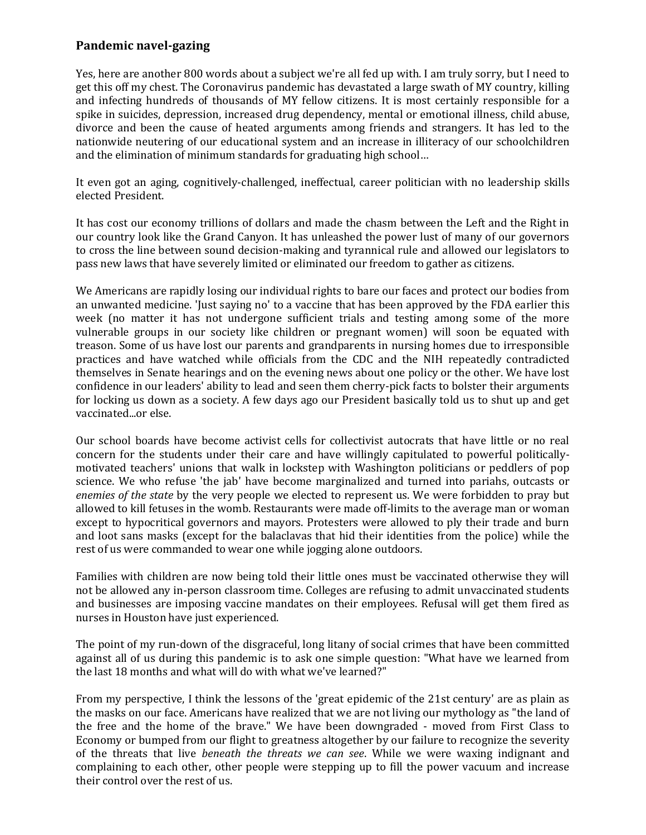## **Pandemic navel-gazing**

Yes, here are another 800 words about a subject we're all fed up with. I am truly sorry, but I need to get this off my chest. The Coronavirus pandemic has devastated a large swath of MY country, killing and infecting hundreds of thousands of MY fellow citizens. It is most certainly responsible for a spike in suicides, depression, increased drug dependency, mental or emotional illness, child abuse, divorce and been the cause of heated arguments among friends and strangers. It has led to the nationwide neutering of our educational system and an increase in illiteracy of our schoolchildren and the elimination of minimum standards for graduating high school…

It even got an aging, cognitively-challenged, ineffectual, career politician with no leadership skills elected President.

It has cost our economy trillions of dollars and made the chasm between the Left and the Right in our country look like the Grand Canyon. It has unleashed the power lust of many of our governors to cross the line between sound decision-making and tyrannical rule and allowed our legislators to pass new laws that have severely limited or eliminated our freedom to gather as citizens.

We Americans are rapidly losing our individual rights to bare our faces and protect our bodies from an unwanted medicine. 'Just saying no' to a vaccine that has been approved by the FDA earlier this week (no matter it has not undergone sufficient trials and testing among some of the more vulnerable groups in our society like children or pregnant women) will soon be equated with treason. Some of us have lost our parents and grandparents in nursing homes due to irresponsible practices and have watched while officials from the CDC and the NIH repeatedly contradicted themselves in Senate hearings and on the evening news about one policy or the other. We have lost confidence in our leaders' ability to lead and seen them cherry-pick facts to bolster their arguments for locking us down as a society. A few days ago our President basically told us to shut up and get vaccinated...or else.

Our school boards have become activist cells for collectivist autocrats that have little or no real concern for the students under their care and have willingly capitulated to powerful politicallymotivated teachers' unions that walk in lockstep with Washington politicians or peddlers of pop science. We who refuse 'the jab' have become marginalized and turned into pariahs, outcasts or *enemies of the state* by the very people we elected to represent us. We were forbidden to pray but allowed to kill fetuses in the womb. Restaurants were made off-limits to the average man or woman except to hypocritical governors and mayors. Protesters were allowed to ply their trade and burn and loot sans masks (except for the balaclavas that hid their identities from the police) while the rest of us were commanded to wear one while jogging alone outdoors.

Families with children are now being told their little ones must be vaccinated otherwise they will not be allowed any in-person classroom time. Colleges are refusing to admit unvaccinated students and businesses are imposing vaccine mandates on their employees. Refusal will get them fired as nurses in Houston have just experienced.

The point of my run-down of the disgraceful, long litany of social crimes that have been committed against all of us during this pandemic is to ask one simple question: "What have we learned from the last 18 months and what will do with what we've learned?"

From my perspective, I think the lessons of the 'great epidemic of the 21st century' are as plain as the masks on our face. Americans have realized that we are not living our mythology as "the land of the free and the home of the brave." We have been downgraded - moved from First Class to Economy or bumped from our flight to greatness altogether by our failure to recognize the severity of the threats that live *beneath the threats we can see*. While we were waxing indignant and complaining to each other, other people were stepping up to fill the power vacuum and increase their control over the rest of us.